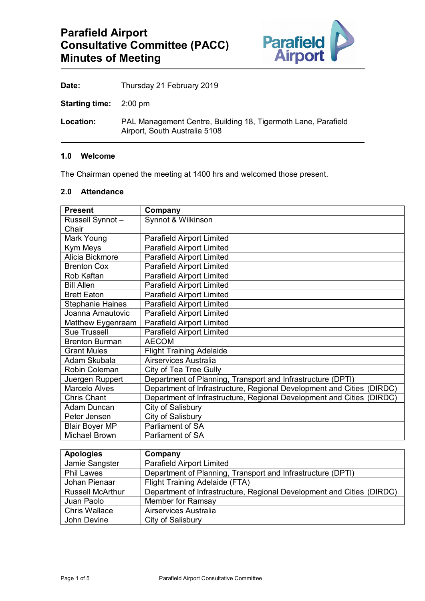

Date: Thursday 21 February 2019

**Starting time:** 2:00 pm

**Location:** PAL Management Centre, Building 18, Tigermoth Lane, Parafield Airport, South Australia 5108

### **1.0 Welcome**

The Chairman opened the meeting at 1400 hrs and welcomed those present.

# **2.0 Attendance**

| Russell Synnot-<br>Synnot & Wilkinson<br>Chair<br>Mark Young<br><b>Parafield Airport Limited</b><br><b>Parafield Airport Limited</b><br>Kym Meys<br>Alicia Bickmore<br><b>Parafield Airport Limited</b><br><b>Parafield Airport Limited</b><br><b>Brenton Cox</b><br><b>Parafield Airport Limited</b><br>Rob Kaftan<br><b>Parafield Airport Limited</b><br><b>Bill Allen</b><br><b>Parafield Airport Limited</b><br><b>Brett Eaton</b><br><b>Parafield Airport Limited</b><br><b>Stephanie Haines</b><br><b>Parafield Airport Limited</b><br>Joanna Arnautovic<br><b>Parafield Airport Limited</b><br>Matthew Eygenraam<br><b>Sue Trussell</b><br><b>Parafield Airport Limited</b><br><b>Brenton Burman</b><br><b>AECOM</b><br><b>Flight Training Adelaide</b><br><b>Grant Mules</b><br>Airservices Australia<br>Adam Skubala<br>Robin Coleman<br>City of Tea Tree Gully<br>Department of Planning, Transport and Infrastructure (DPTI)<br>Juergen Ruppert<br><b>Marcelo Alves</b><br>Department of Infrastructure, Regional Development and Cities (DIRDC)<br>Department of Infrastructure, Regional Development and Cities (DIRDC)<br><b>Chris Chant</b><br>City of Salisbury<br><b>Adam Duncan</b><br>City of Salisbury<br>Peter Jensen<br><b>Parliament of SA</b><br><b>Blair Boyer MP</b> | <b>Present</b>       | Company                 |
|------------------------------------------------------------------------------------------------------------------------------------------------------------------------------------------------------------------------------------------------------------------------------------------------------------------------------------------------------------------------------------------------------------------------------------------------------------------------------------------------------------------------------------------------------------------------------------------------------------------------------------------------------------------------------------------------------------------------------------------------------------------------------------------------------------------------------------------------------------------------------------------------------------------------------------------------------------------------------------------------------------------------------------------------------------------------------------------------------------------------------------------------------------------------------------------------------------------------------------------------------------------------------------------------|----------------------|-------------------------|
|                                                                                                                                                                                                                                                                                                                                                                                                                                                                                                                                                                                                                                                                                                                                                                                                                                                                                                                                                                                                                                                                                                                                                                                                                                                                                                |                      |                         |
|                                                                                                                                                                                                                                                                                                                                                                                                                                                                                                                                                                                                                                                                                                                                                                                                                                                                                                                                                                                                                                                                                                                                                                                                                                                                                                |                      |                         |
|                                                                                                                                                                                                                                                                                                                                                                                                                                                                                                                                                                                                                                                                                                                                                                                                                                                                                                                                                                                                                                                                                                                                                                                                                                                                                                |                      |                         |
|                                                                                                                                                                                                                                                                                                                                                                                                                                                                                                                                                                                                                                                                                                                                                                                                                                                                                                                                                                                                                                                                                                                                                                                                                                                                                                |                      |                         |
|                                                                                                                                                                                                                                                                                                                                                                                                                                                                                                                                                                                                                                                                                                                                                                                                                                                                                                                                                                                                                                                                                                                                                                                                                                                                                                |                      |                         |
|                                                                                                                                                                                                                                                                                                                                                                                                                                                                                                                                                                                                                                                                                                                                                                                                                                                                                                                                                                                                                                                                                                                                                                                                                                                                                                |                      |                         |
|                                                                                                                                                                                                                                                                                                                                                                                                                                                                                                                                                                                                                                                                                                                                                                                                                                                                                                                                                                                                                                                                                                                                                                                                                                                                                                |                      |                         |
|                                                                                                                                                                                                                                                                                                                                                                                                                                                                                                                                                                                                                                                                                                                                                                                                                                                                                                                                                                                                                                                                                                                                                                                                                                                                                                |                      |                         |
|                                                                                                                                                                                                                                                                                                                                                                                                                                                                                                                                                                                                                                                                                                                                                                                                                                                                                                                                                                                                                                                                                                                                                                                                                                                                                                |                      |                         |
|                                                                                                                                                                                                                                                                                                                                                                                                                                                                                                                                                                                                                                                                                                                                                                                                                                                                                                                                                                                                                                                                                                                                                                                                                                                                                                |                      |                         |
|                                                                                                                                                                                                                                                                                                                                                                                                                                                                                                                                                                                                                                                                                                                                                                                                                                                                                                                                                                                                                                                                                                                                                                                                                                                                                                |                      |                         |
|                                                                                                                                                                                                                                                                                                                                                                                                                                                                                                                                                                                                                                                                                                                                                                                                                                                                                                                                                                                                                                                                                                                                                                                                                                                                                                |                      |                         |
|                                                                                                                                                                                                                                                                                                                                                                                                                                                                                                                                                                                                                                                                                                                                                                                                                                                                                                                                                                                                                                                                                                                                                                                                                                                                                                |                      |                         |
|                                                                                                                                                                                                                                                                                                                                                                                                                                                                                                                                                                                                                                                                                                                                                                                                                                                                                                                                                                                                                                                                                                                                                                                                                                                                                                |                      |                         |
|                                                                                                                                                                                                                                                                                                                                                                                                                                                                                                                                                                                                                                                                                                                                                                                                                                                                                                                                                                                                                                                                                                                                                                                                                                                                                                |                      |                         |
|                                                                                                                                                                                                                                                                                                                                                                                                                                                                                                                                                                                                                                                                                                                                                                                                                                                                                                                                                                                                                                                                                                                                                                                                                                                                                                |                      |                         |
|                                                                                                                                                                                                                                                                                                                                                                                                                                                                                                                                                                                                                                                                                                                                                                                                                                                                                                                                                                                                                                                                                                                                                                                                                                                                                                |                      |                         |
|                                                                                                                                                                                                                                                                                                                                                                                                                                                                                                                                                                                                                                                                                                                                                                                                                                                                                                                                                                                                                                                                                                                                                                                                                                                                                                |                      |                         |
|                                                                                                                                                                                                                                                                                                                                                                                                                                                                                                                                                                                                                                                                                                                                                                                                                                                                                                                                                                                                                                                                                                                                                                                                                                                                                                |                      |                         |
|                                                                                                                                                                                                                                                                                                                                                                                                                                                                                                                                                                                                                                                                                                                                                                                                                                                                                                                                                                                                                                                                                                                                                                                                                                                                                                |                      |                         |
|                                                                                                                                                                                                                                                                                                                                                                                                                                                                                                                                                                                                                                                                                                                                                                                                                                                                                                                                                                                                                                                                                                                                                                                                                                                                                                |                      |                         |
|                                                                                                                                                                                                                                                                                                                                                                                                                                                                                                                                                                                                                                                                                                                                                                                                                                                                                                                                                                                                                                                                                                                                                                                                                                                                                                |                      |                         |
|                                                                                                                                                                                                                                                                                                                                                                                                                                                                                                                                                                                                                                                                                                                                                                                                                                                                                                                                                                                                                                                                                                                                                                                                                                                                                                |                      |                         |
|                                                                                                                                                                                                                                                                                                                                                                                                                                                                                                                                                                                                                                                                                                                                                                                                                                                                                                                                                                                                                                                                                                                                                                                                                                                                                                | <b>Michael Brown</b> | <b>Parliament of SA</b> |

| <b>Apologies</b>        | Company                                                               |
|-------------------------|-----------------------------------------------------------------------|
| Jamie Sangster          | <b>Parafield Airport Limited</b>                                      |
| <b>Phil Lawes</b>       | Department of Planning, Transport and Infrastructure (DPTI)           |
| Johan Pienaar           | Flight Training Adelaide (FTA)                                        |
| <b>Russell McArthur</b> | Department of Infrastructure, Regional Development and Cities (DIRDC) |
| Juan Paolo              | Member for Ramsay                                                     |
| <b>Chris Wallace</b>    | Airservices Australia                                                 |
| John Devine             | City of Salisbury                                                     |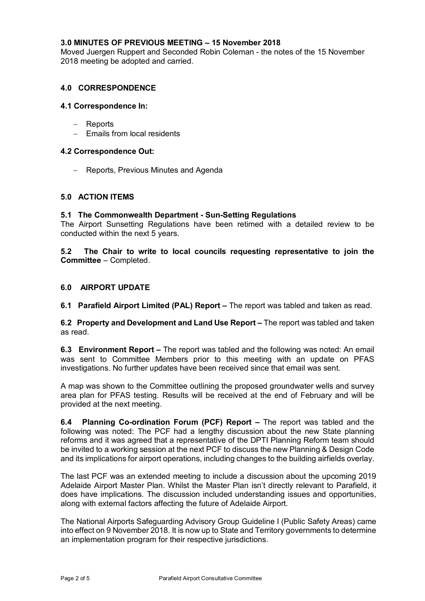## **3.0 MINUTES OF PREVIOUS MEETING – 15 November 2018**

Moved Juergen Ruppert and Seconded Robin Coleman - the notes of the 15 November 2018 meeting be adopted and carried.

## **4.0 CORRESPONDENCE**

### **4.1 Correspondence In:**

- − Reports
- − Emails from local residents

### **4.2 Correspondence Out:**

− Reports, Previous Minutes and Agenda

### **5.0 ACTION ITEMS**

### **5.1 The Commonwealth Department - Sun-Setting Regulations**

The Airport Sunsetting Regulations have been retimed with a detailed review to be conducted within the next 5 years.

**5.2 The Chair to write to local councils requesting representative to join the Committee** – Completed.

### **6.0 AIRPORT UPDATE**

**6.1 Parafield Airport Limited (PAL) Report –** The report was tabled and taken as read.

**6.2 Property and Development and Land Use Report –** The report was tabled and taken as read.

**6.3 Environment Report –** The report was tabled and the following was noted: An email was sent to Committee Members prior to this meeting with an update on PFAS investigations. No further updates have been received since that email was sent.

A map was shown to the Committee outlining the proposed groundwater wells and survey area plan for PFAS testing. Results will be received at the end of February and will be provided at the next meeting.

**6.4 Planning Co-ordination Forum (PCF) Report –** The report was tabled and the following was noted: The PCF had a lengthy discussion about the new State planning reforms and it was agreed that a representative of the DPTI Planning Reform team should be invited to a working session at the next PCF to discuss the new Planning & Design Code and its implications for airport operations, including changes to the building airfields overlay.

The last PCF was an extended meeting to include a discussion about the upcoming 2019 Adelaide Airport Master Plan. Whilst the Master Plan isn't directly relevant to Parafield, it does have implications. The discussion included understanding issues and opportunities, along with external factors affecting the future of Adelaide Airport.

The National Airports Safeguarding Advisory Group Guideline I (Public Safety Areas) came into effect on 9 November 2018. It is now up to State and Territory governments to determine an implementation program for their respective jurisdictions.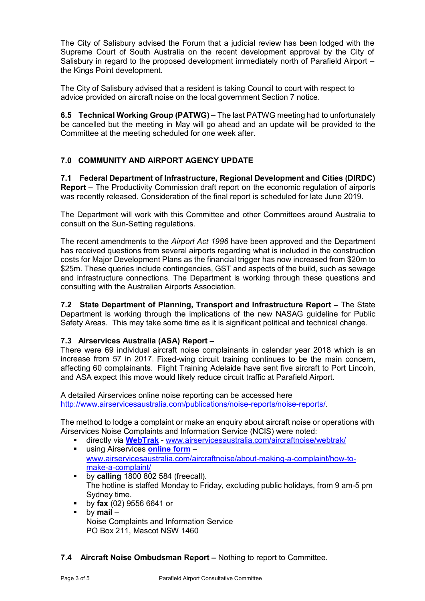The City of Salisbury advised the Forum that a judicial review has been lodged with the Supreme Court of South Australia on the recent development approval by the City of Salisbury in regard to the proposed development immediately north of Parafield Airport – the Kings Point development.

The City of Salisbury advised that a resident is taking Council to court with respect to advice provided on aircraft noise on the local government Section 7 notice.

**6.5 Technical Working Group (PATWG) –** The last PATWG meeting had to unfortunately be cancelled but the meeting in May will go ahead and an update will be provided to the Committee at the meeting scheduled for one week after.

# **7.0 COMMUNITY AND AIRPORT AGENCY UPDATE**

**7.1 Federal Department of Infrastructure, Regional Development and Cities (DIRDC) Report –** The Productivity Commission draft report on the economic regulation of airports was recently released. Consideration of the final report is scheduled for late June 2019.

The Department will work with this Committee and other Committees around Australia to consult on the Sun-Setting regulations.

The recent amendments to the *Airport Act 1996* have been approved and the Department has received questions from several airports regarding what is included in the construction costs for Major Development Plans as the financial trigger has now increased from \$20m to \$25m. These queries include contingencies, GST and aspects of the build, such as sewage and infrastructure connections. The Department is working through these questions and consulting with the Australian Airports Association.

**7.2 State Department of Planning, Transport and Infrastructure Report –** The State Department is working through the implications of the new NASAG guideline for Public Safety Areas. This may take some time as it is significant political and technical change.

# **7.3 Airservices Australia (ASA) Report –**

There were 69 individual aircraft noise complainants in calendar year 2018 which is an increase from 57 in 2017. Fixed-wing circuit training continues to be the main concern, affecting 60 complainants. Flight Training Adelaide have sent five aircraft to Port Lincoln, and ASA expect this move would likely reduce circuit traffic at Parafield Airport.

A detailed Airservices online noise reporting can be accessed here [http://www.airservicesaustralia.com/publications/noise-reports/noise-reports/.](http://www.airservicesaustralia.com/publications/noise-reports/noise-reports/)

The method to lodge a complaint or make an enquiry about aircraft noise or operations with Airservices Noise Complaints and Information Service (NCIS) were noted:

- directly via **[WebTrak](http://www.airservicesaustralia.com/aircraftnoise/webtrak/)** [www.airservicesaustralia.com/aircraftnoise/webtrak/](http://www.airservicesaustralia.com/aircraftnoise/webtrak/)
- using Airservices **[online form](https://complaints.bksv.com/asa)** [www.airservicesaustralia.com/aircraftnoise/about-making-a-complaint/how-to](http://www.airservicesaustralia.com/aircraftnoise/about-making-a-complaint/how-to-make-a-complaint/)[make-a-complaint/](http://www.airservicesaustralia.com/aircraftnoise/about-making-a-complaint/how-to-make-a-complaint/)
- **by calling** 1800 802 584 (freecall). The hotline is staffed Monday to Friday, excluding public holidays, from 9 am-5 pm Sydney time.
- by **fax** (02) 9556 6641 or
- by **mail** Noise Complaints and Information Service PO Box 211, Mascot NSW 1460
- **7.4 Aircraft Noise Ombudsman Report –** Nothing to report to Committee.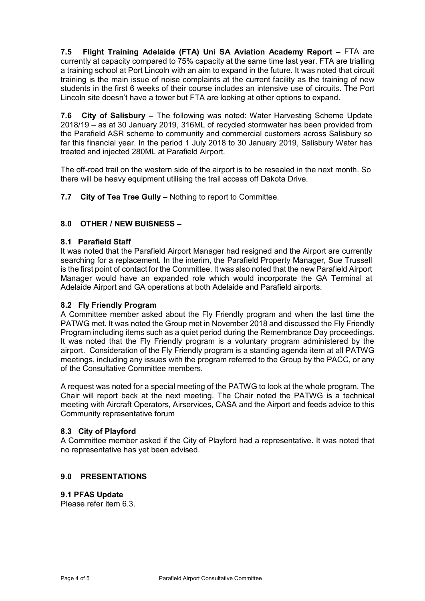**7.5 Flight Training Adelaide (FTA) Uni SA Aviation Academy Report –** FTA are currently at capacity compared to 75% capacity at the same time last year. FTA are trialling a training school at Port Lincoln with an aim to expand in the future. It was noted that circuit training is the main issue of noise complaints at the current facility as the training of new students in the first 6 weeks of their course includes an intensive use of circuits. The Port Lincoln site doesn't have a tower but FTA are looking at other options to expand.

**7.6 City of Salisbury –** The following was noted: Water Harvesting Scheme Update 2018/19 – as at 30 January 2019, 316ML of recycled stormwater has been provided from the Parafield ASR scheme to community and commercial customers across Salisbury so far this financial year. In the period 1 July 2018 to 30 January 2019, Salisbury Water has treated and injected 280ML at Parafield Airport.

The off-road trail on the western side of the airport is to be resealed in the next month. So there will be heavy equipment utilising the trail access off Dakota Drive.

**7.7 City of Tea Tree Gully –** Nothing to report to Committee.

## **8.0 OTHER / NEW BUISNESS –**

## **8.1 Parafield Staff**

It was noted that the Parafield Airport Manager had resigned and the Airport are currently searching for a replacement. In the interim, the Parafield Property Manager, Sue Trussell is the first point of contact for the Committee. It was also noted that the new Parafield Airport Manager would have an expanded role which would incorporate the GA Terminal at Adelaide Airport and GA operations at both Adelaide and Parafield airports.

## **8.2 Fly Friendly Program**

A Committee member asked about the Fly Friendly program and when the last time the PATWG met. It was noted the Group met in November 2018 and discussed the Fly Friendly Program including items such as a quiet period during the Remembrance Day proceedings. It was noted that the Fly Friendly program is a voluntary program administered by the airport. Consideration of the Fly Friendly program is a standing agenda item at all PATWG meetings, including any issues with the program referred to the Group by the PACC, or any of the Consultative Committee members.

A request was noted for a special meeting of the PATWG to look at the whole program. The Chair will report back at the next meeting. The Chair noted the PATWG is a technical meeting with Aircraft Operators, Airservices, CASA and the Airport and feeds advice to this Community representative forum

## **8.3 City of Playford**

A Committee member asked if the City of Playford had a representative. It was noted that no representative has yet been advised.

## **9.0 PRESENTATIONS**

## **9.1 PFAS Update**

Please refer item 6.3.